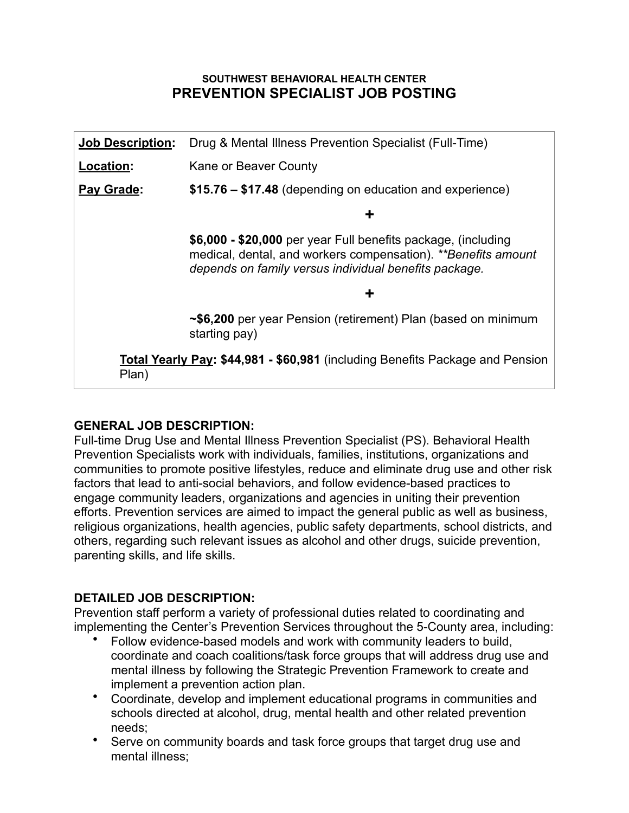#### **SOUTHWEST BEHAVIORAL HEALTH CENTER PREVENTION SPECIALIST JOB POSTING**

| <b>Job Description:</b> | Drug & Mental Illness Prevention Specialist (Full-Time)                                                                                                                                 |
|-------------------------|-----------------------------------------------------------------------------------------------------------------------------------------------------------------------------------------|
| <b>Location:</b>        | Kane or Beaver County                                                                                                                                                                   |
| Pay Grade:              | \$15.76 – \$17.48 (depending on education and experience)                                                                                                                               |
|                         | ÷                                                                                                                                                                                       |
|                         | \$6,000 - \$20,000 per year Full benefits package, (including<br>medical, dental, and workers compensation). **Benefits amount<br>depends on family versus individual benefits package. |
|                         | ÷                                                                                                                                                                                       |
|                         | ~\$6,200 per year Pension (retirement) Plan (based on minimum<br>starting pay)                                                                                                          |
| Plan)                   | Total Yearly Pay: \$44,981 - \$60,981 (including Benefits Package and Pension                                                                                                           |

### **GENERAL JOB DESCRIPTION:**

Full-time Drug Use and Mental Illness Prevention Specialist (PS). Behavioral Health Prevention Specialists work with individuals, families, institutions, organizations and communities to promote positive lifestyles, reduce and eliminate drug use and other risk factors that lead to anti-social behaviors, and follow evidence-based practices to engage community leaders, organizations and agencies in uniting their prevention efforts. Prevention services are aimed to impact the general public as well as business, religious organizations, health agencies, public safety departments, school districts, and others, regarding such relevant issues as alcohol and other drugs, suicide prevention, parenting skills, and life skills.

### **DETAILED JOB DESCRIPTION:**

Prevention staff perform a variety of professional duties related to coordinating and implementing the Center's Prevention Services throughout the 5-County area, including:

- Follow evidence-based models and work with community leaders to build, coordinate and coach coalitions/task force groups that will address drug use and mental illness by following the Strategic Prevention Framework to create and implement a prevention action plan.
- Coordinate, develop and implement educational programs in communities and schools directed at alcohol, drug, mental health and other related prevention needs;
- Serve on community boards and task force groups that target drug use and mental illness;